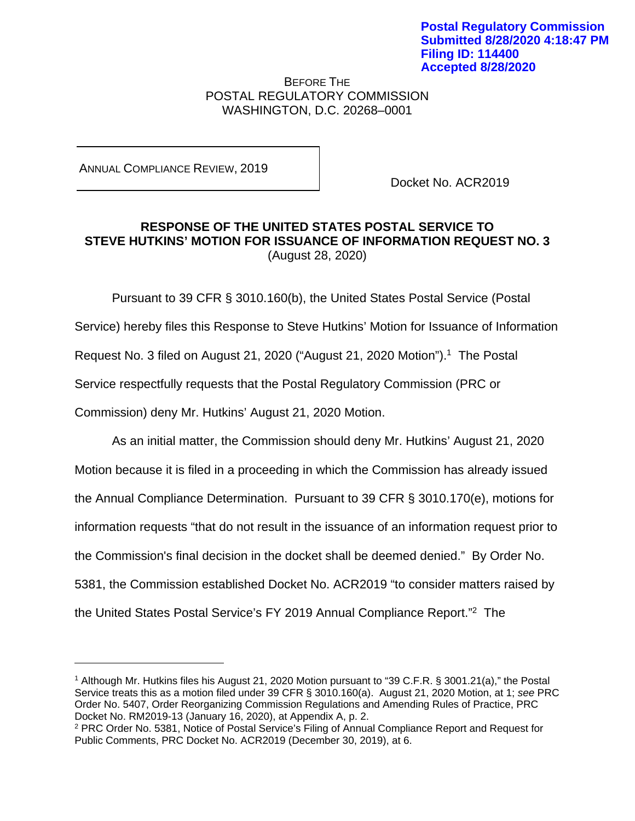BEFORE THE POSTAL REGULATORY COMMISSION WASHINGTON, D.C. 20268–0001

ANNUAL COMPLIANCE REVIEW, 2019

Docket No. ACR2019

## **RESPONSE OF THE UNITED STATES POSTAL SERVICE TO STEVE HUTKINS' MOTION FOR ISSUANCE OF INFORMATION REQUEST NO. 3**  (August 28, 2020)

Pursuant to 39 CFR § 3010.160(b), the United States Postal Service (Postal Service) hereby files this Response to Steve Hutkins' Motion for Issuance of Information Request No. 3 filed on August 21, 2020 ("August 21, 2020 Motion").<sup>1</sup> The Postal Service respectfully requests that the Postal Regulatory Commission (PRC or Commission) deny Mr. Hutkins' August 21, 2020 Motion.

As an initial matter, the Commission should deny Mr. Hutkins' August 21, 2020 Motion because it is filed in a proceeding in which the Commission has already issued the Annual Compliance Determination. Pursuant to 39 CFR § 3010.170(e), motions for information requests "that do not result in the issuance of an information request prior to the Commission's final decision in the docket shall be deemed denied." By Order No. 5381, the Commission established Docket No. ACR2019 "to consider matters raised by the United States Postal Service's FY 2019 Annual Compliance Report."2 The

<sup>1</sup> Although Mr. Hutkins files his August 21, 2020 Motion pursuant to "39 C.F.R. § 3001.21(a)," the Postal Service treats this as a motion filed under 39 CFR § 3010.160(a). August 21, 2020 Motion, at 1; *see* PRC Order No. 5407, Order Reorganizing Commission Regulations and Amending Rules of Practice, PRC Docket No. RM2019-13 (January 16, 2020), at Appendix A, p. 2.

<sup>2</sup> PRC Order No. 5381, Notice of Postal Service's Filing of Annual Compliance Report and Request for Public Comments, PRC Docket No. ACR2019 (December 30, 2019), at 6.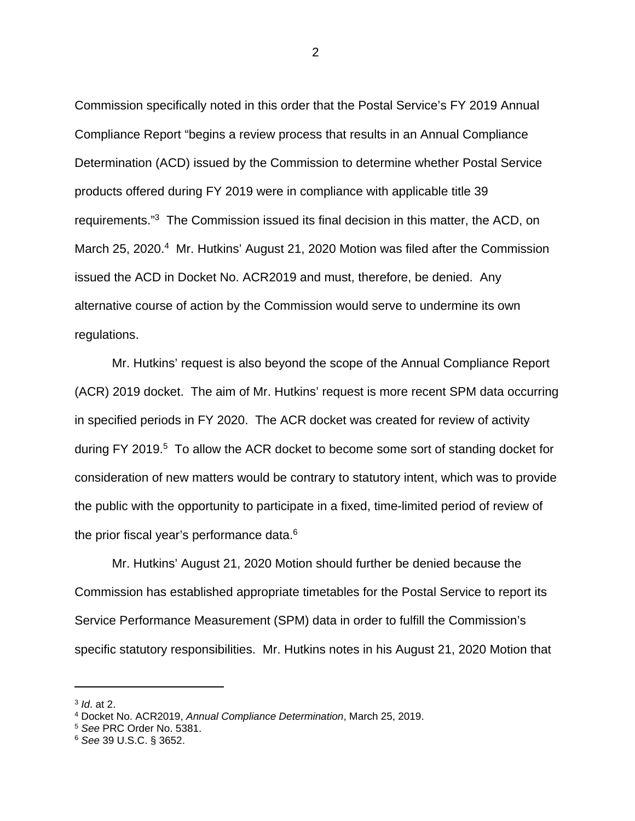Commission specifically noted in this order that the Postal Service's FY 2019 Annual Compliance Report "begins a review process that results in an Annual Compliance Determination (ACD) issued by the Commission to determine whether Postal Service products offered during FY 2019 were in compliance with applicable title 39 requirements."3 The Commission issued its final decision in this matter, the ACD, on March 25, 2020.<sup>4</sup> Mr. Hutkins' August 21, 2020 Motion was filed after the Commission issued the ACD in Docket No. ACR2019 and must, therefore, be denied. Any alternative course of action by the Commission would serve to undermine its own regulations.

Mr. Hutkins' request is also beyond the scope of the Annual Compliance Report (ACR) 2019 docket. The aim of Mr. Hutkins' request is more recent SPM data occurring in specified periods in FY 2020. The ACR docket was created for review of activity during FY 2019.<sup>5</sup> To allow the ACR docket to become some sort of standing docket for consideration of new matters would be contrary to statutory intent, which was to provide the public with the opportunity to participate in a fixed, time-limited period of review of the prior fiscal year's performance data.<sup>6</sup>

Mr. Hutkins' August 21, 2020 Motion should further be denied because the Commission has established appropriate timetables for the Postal Service to report its Service Performance Measurement (SPM) data in order to fulfill the Commission's specific statutory responsibilities. Mr. Hutkins notes in his August 21, 2020 Motion that

<sup>3</sup> *Id*. at 2.

<sup>4</sup> Docket No. ACR2019, *Annual Compliance Determination*, March 25, 2019.

<sup>5</sup> *See* PRC Order No. 5381.

<sup>6</sup> *See* 39 U.S.C. § 3652.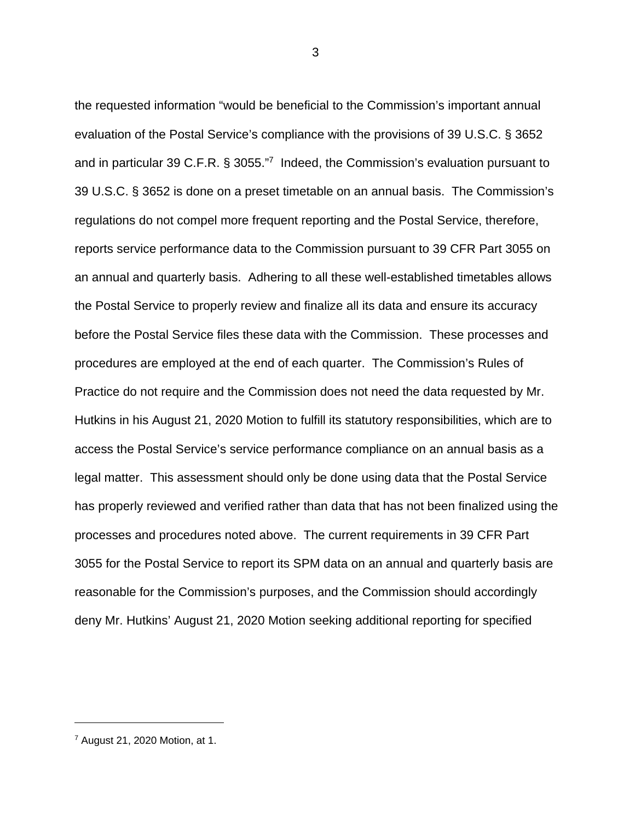the requested information "would be beneficial to the Commission's important annual evaluation of the Postal Service's compliance with the provisions of 39 U.S.C. § 3652 and in particular 39 C.F.R. § 3055."7 Indeed, the Commission's evaluation pursuant to 39 U.S.C. § 3652 is done on a preset timetable on an annual basis. The Commission's regulations do not compel more frequent reporting and the Postal Service, therefore, reports service performance data to the Commission pursuant to 39 CFR Part 3055 on an annual and quarterly basis. Adhering to all these well-established timetables allows the Postal Service to properly review and finalize all its data and ensure its accuracy before the Postal Service files these data with the Commission. These processes and procedures are employed at the end of each quarter. The Commission's Rules of Practice do not require and the Commission does not need the data requested by Mr. Hutkins in his August 21, 2020 Motion to fulfill its statutory responsibilities, which are to access the Postal Service's service performance compliance on an annual basis as a legal matter. This assessment should only be done using data that the Postal Service has properly reviewed and verified rather than data that has not been finalized using the processes and procedures noted above. The current requirements in 39 CFR Part 3055 for the Postal Service to report its SPM data on an annual and quarterly basis are reasonable for the Commission's purposes, and the Commission should accordingly deny Mr. Hutkins' August 21, 2020 Motion seeking additional reporting for specified

3

<sup>7</sup> August 21, 2020 Motion, at 1.